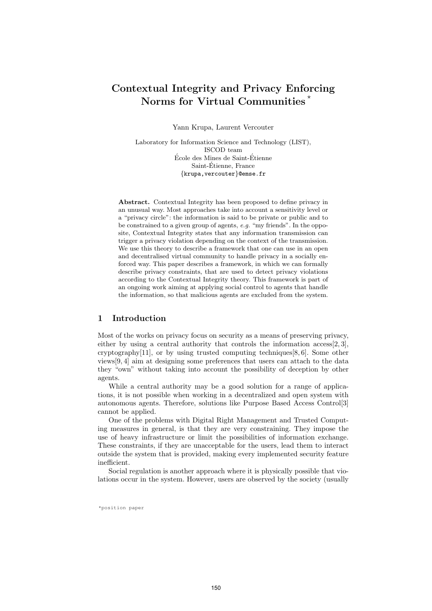# Contextual Integrity and Privacy Enforcing Norms for Virtual Communities<sup>\*</sup>

Yann Krupa, Laurent Vercouter

Laboratory for Information Science and Technology (LIST), ISCOD team École des Mines de Saint-Étienne Saint-Etienne, France ´ {krupa,vercouter}@emse.fr

Abstract. Contextual Integrity has been proposed to define privacy in an unusual way. Most approaches take into account a sensitivity level or a "privacy circle": the information is said to be private or public and to be constrained to a given group of agents, e.g. "my friends". In the opposite, Contextual Integrity states that any information transmission can trigger a privacy violation depending on the context of the transmission. We use this theory to describe a framework that one can use in an open and decentralised virtual community to handle privacy in a socially enforced way. This paper describes a framework, in which we can formally describe privacy constraints, that are used to detect privacy violations according to the Contextual Integrity theory. This framework is part of an ongoing work aiming at applying social control to agents that handle the information, so that malicious agents are excluded from the system.

# 1 Introduction

Most of the works on privacy focus on security as a means of preserving privacy, either by using a central authority that controls the information  $\arccos[2, 3]$ , cryptography[11], or by using trusted computing techniques[8, 6]. Some other views[9, 4] aim at designing some preferences that users can attach to the data they "own" without taking into account the possibility of deception by other agents.

While a central authority may be a good solution for a range of applications, it is not possible when working in a decentralized and open system with autonomous agents. Therefore, solutions like Purpose Based Access Control[3] cannot be applied.

One of the problems with Digital Right Management and Trusted Computing measures in general, is that they are very constraining. They impose the use of heavy infrastructure or limit the possibilities of information exchange. These constraints, if they are unacceptable for the users, lead them to interact outside the system that is provided, making every implemented security feature inefficient.

Social regulation is another approach where it is physically possible that violations occur in the system. However, users are observed by the society (usually

\*position paper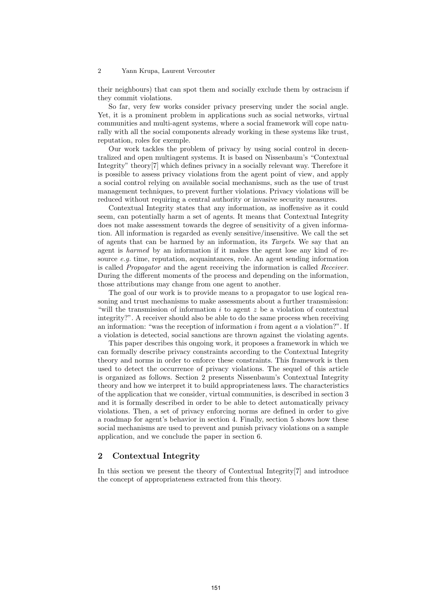their neighbours) that can spot them and socially exclude them by ostracism if they commit violations.

So far, very few works consider privacy preserving under the social angle. Yet, it is a prominent problem in applications such as social networks, virtual communities and multi-agent systems, where a social framework will cope naturally with all the social components already working in these systems like trust, reputation, roles for exemple.

Our work tackles the problem of privacy by using social control in decentralized and open multiagent systems. It is based on Nissenbaum's "Contextual Integrity" theory[7] which defines privacy in a socially relevant way. Therefore it is possible to assess privacy violations from the agent point of view, and apply a social control relying on available social mechanisms, such as the use of trust management techniques, to prevent further violations. Privacy violations will be reduced without requiring a central authority or invasive security measures.

Contextual Integrity states that any information, as inoffensive as it could seem, can potentially harm a set of agents. It means that Contextual Integrity does not make assessment towards the degree of sensitivity of a given information. All information is regarded as evenly sensitive/insensitive. We call the set of agents that can be harmed by an information, its Targets. We say that an agent is harmed by an information if it makes the agent lose any kind of resource  $e, q$ , time, reputation, acquaintances, role. An agent sending information is called Propagator and the agent receiving the information is called Receiver. During the different moments of the process and depending on the information, those attributions may change from one agent to another.

The goal of our work is to provide means to a propagator to use logical reasoning and trust mechanisms to make assessments about a further transmission: "will the transmission of information  $i$  to agent  $z$  be a violation of contextual integrity?". A receiver should also be able to do the same process when receiving an information: "was the reception of information  $i$  from agent  $a$  a violation?". If a violation is detected, social sanctions are thrown against the violating agents.

This paper describes this ongoing work, it proposes a framework in which we can formally describe privacy constraints according to the Contextual Integrity theory and norms in order to enforce these constraints. This framework is then used to detect the occurrence of privacy violations. The sequel of this article is organized as follows. Section 2 presents Nissenbaum's Contextual Integrity theory and how we interpret it to build appropriateness laws. The characteristics of the application that we consider, virtual communities, is described in section 3 and it is formally described in order to be able to detect automatically privacy violations. Then, a set of privacy enforcing norms are defined in order to give a roadmap for agent's behavior in section 4. Finally, section 5 shows how these social mechanisms are used to prevent and punish privacy violations on a sample application, and we conclude the paper in section 6.

## 2 Contextual Integrity

In this section we present the theory of Contextual Integrity[7] and introduce the concept of appropriateness extracted from this theory.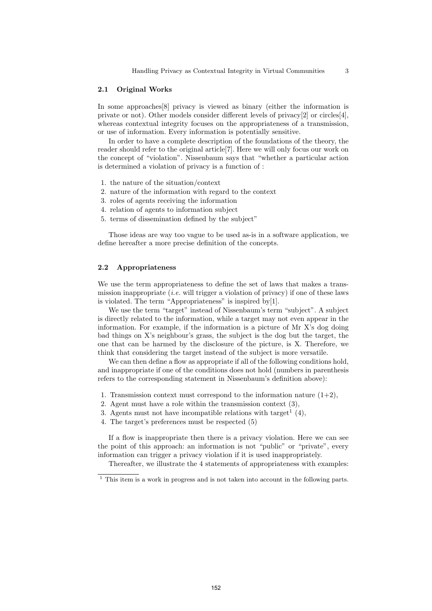#### 2.1 Original Works

In some approaches[8] privacy is viewed as binary (either the information is private or not). Other models consider different levels of privacy[2] or circles[4], whereas contextual integrity focuses on the appropriateness of a transmission, or use of information. Every information is potentially sensitive.

In order to have a complete description of the foundations of the theory, the reader should refer to the original article[7]. Here we will only focus our work on the concept of "violation". Nissenbaum says that "whether a particular action is determined a violation of privacy is a function of :

- 1. the nature of the situation/context
- 2. nature of the information with regard to the context
- 3. roles of agents receiving the information
- 4. relation of agents to information subject
- 5. terms of dissemination defined by the subject"

Those ideas are way too vague to be used as-is in a software application, we define hereafter a more precise definition of the concepts.

## 2.2 Appropriateness

We use the term appropriateness to define the set of laws that makes a transmission inappropriate (*i.e.* will trigger a violation of privacy) if one of these laws is violated. The term "Appropriateness" is inspired by[1].

We use the term "target" instead of Nissenbaum's term "subject". A subject is directly related to the information, while a target may not even appear in the information. For example, if the information is a picture of Mr X's dog doing bad things on X's neighbour's grass, the subject is the dog but the target, the one that can be harmed by the disclosure of the picture, is X. Therefore, we think that considering the target instead of the subject is more versatile.

We can then define a flow as appropriate if all of the following conditions hold, and inappropriate if one of the conditions does not hold (numbers in parenthesis refers to the corresponding statement in Nissenbaum's definition above):

- 1. Transmission context must correspond to the information nature  $(1+2)$ ,
- 2. Agent must have a role within the transmission context (3),
- 3. Agents must not have incompatible relations with target<sup>1</sup>  $(4)$ ,
- 4. The target's preferences must be respected (5)

If a flow is inappropriate then there is a privacy violation. Here we can see the point of this approach: an information is not "public" or "private", every information can trigger a privacy violation if it is used inappropriately.

Thereafter, we illustrate the 4 statements of appropriateness with examples:

 $1$  This item is a work in progress and is not taken into account in the following parts.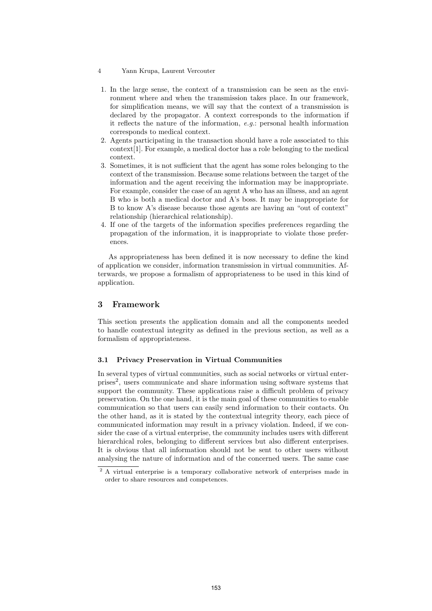- 4 Yann Krupa, Laurent Vercouter
- 1. In the large sense, the context of a transmission can be seen as the environment where and when the transmission takes place. In our framework, for simplification means, we will say that the context of a transmission is declared by the propagator. A context corresponds to the information if it reflects the nature of the information, e.g.: personal health information corresponds to medical context.
- 2. Agents participating in the transaction should have a role associated to this context[1]. For example, a medical doctor has a role belonging to the medical context.
- 3. Sometimes, it is not sufficient that the agent has some roles belonging to the context of the transmission. Because some relations between the target of the information and the agent receiving the information may be inappropriate. For example, consider the case of an agent A who has an illness, and an agent B who is both a medical doctor and A's boss. It may be inappropriate for B to know A's disease because those agents are having an "out of context" relationship (hierarchical relationship).
- 4. If one of the targets of the information specifies preferences regarding the propagation of the information, it is inappropriate to violate those preferences.

As appropriateness has been defined it is now necessary to define the kind of application we consider, information transmission in virtual communities. Afterwards, we propose a formalism of appropriateness to be used in this kind of application.

# 3 Framework

This section presents the application domain and all the components needed to handle contextual integrity as defined in the previous section, as well as a formalism of appropriateness.

## 3.1 Privacy Preservation in Virtual Communities

In several types of virtual communities, such as social networks or virtual enterprises2, users communicate and share information using software systems that support the community. These applications raise a difficult problem of privacy preservation. On the one hand, it is the main goal of these communities to enable communication so that users can easily send information to their contacts. On the other hand, as it is stated by the contextual integrity theory, each piece of communicated information may result in a privacy violation. Indeed, if we consider the case of a virtual enterprise, the community includes users with different hierarchical roles, belonging to different services but also different enterprises. It is obvious that all information should not be sent to other users without analysing the nature of information and of the concerned users. The same case

<sup>&</sup>lt;sup>2</sup> A virtual enterprise is a temporary collaborative network of enterprises made in order to share resources and competences.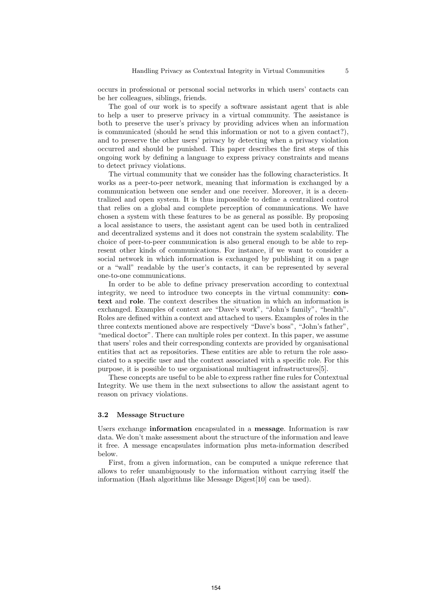occurs in professional or personal social networks in which users' contacts can be her colleagues, siblings, friends.

The goal of our work is to specify a software assistant agent that is able to help a user to preserve privacy in a virtual community. The assistance is both to preserve the user's privacy by providing advices when an information is communicated (should he send this information or not to a given contact?), and to preserve the other users' privacy by detecting when a privacy violation occurred and should be punished. This paper describes the first steps of this ongoing work by defining a language to express privacy constraints and means to detect privacy violations.

The virtual community that we consider has the following characteristics. It works as a peer-to-peer network, meaning that information is exchanged by a communication between one sender and one receiver. Moreover, it is a decentralized and open system. It is thus impossible to define a centralized control that relies on a global and complete perception of communications. We have chosen a system with these features to be as general as possible. By proposing a local assistance to users, the assistant agent can be used both in centralized and decentralized systems and it does not constrain the system scalability. The choice of peer-to-peer communication is also general enough to be able to represent other kinds of communications. For instance, if we want to consider a social network in which information is exchanged by publishing it on a page or a "wall" readable by the user's contacts, it can be represented by several one-to-one communications.

In order to be able to define privacy preservation according to contextual integrity, we need to introduce two concepts in the virtual community: context and role. The context describes the situation in which an information is exchanged. Examples of context are "Dave's work", "John's family", "health". Roles are defined within a context and attached to users. Examples of roles in the three contexts mentioned above are respectively "Dave's boss", "John's father", "medical doctor". There can multiple roles per context. In this paper, we assume that users' roles and their corresponding contexts are provided by organisational entities that act as repositories. These entities are able to return the role associated to a specific user and the context associated with a specific role. For this purpose, it is possible to use organisational multiagent infrastructures[5].

These concepts are useful to be able to express rather fine rules for Contextual Integrity. We use them in the next subsections to allow the assistant agent to reason on privacy violations.

#### 3.2 Message Structure

Users exchange information encapsulated in a message. Information is raw data. We don't make assessment about the structure of the information and leave it free. A message encapsulates information plus meta-information described below.

First, from a given information, can be computed a unique reference that allows to refer unambiguously to the information without carrying itself the information (Hash algorithms like Message Digest[10] can be used).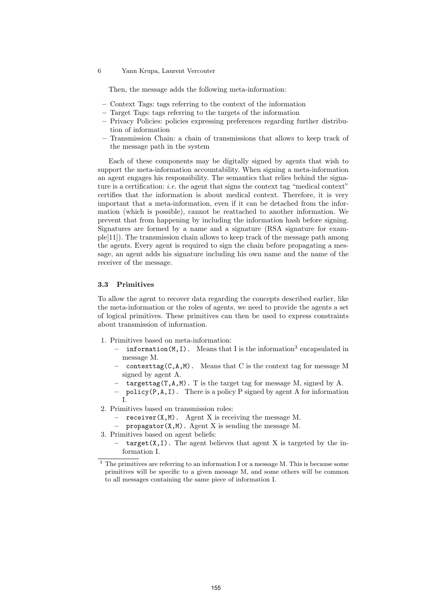Then, the message adds the following meta-information:

- Context Tags: tags referring to the context of the information
- Target Tags: tags referring to the targets of the information
- Privacy Policies: policies expressing preferences regarding further distribution of information
- Transmission Chain: a chain of transmissions that allows to keep track of the message path in the system

Each of these components may be digitally signed by agents that wish to support the meta-information accountability. When signing a meta-information an agent engages his responsibility. The semantics that relies behind the signature is a certification: *i.e.* the agent that signs the context tag "medical context" certifies that the information is about medical context. Therefore, it is very important that a meta-information, even if it can be detached from the information (which is possible), cannot be reattached to another information. We prevent that from happening by including the information hash before signing. Signatures are formed by a name and a signature (RSA signature for example[11]). The transmission chain allows to keep track of the message path among the agents. Every agent is required to sign the chain before propagating a message, an agent adds his signature including his own name and the name of the receiver of the message.

## 3.3 Primitives

To allow the agent to recover data regarding the concepts described earlier, like the meta-information or the roles of agents, we need to provide the agents a set of logical primitives. These primitives can then be used to express constraints about transmission of information.

- 1. Primitives based on meta-information:
	- information( $M, I$ ). Means that I is the information<sup>3</sup> encapsulated in message M.
	- contexttag( $C, A, M$ ). Means that C is the context tag for message M signed by agent A.
	- targettag( $T, A, M$ ). T is the target tag for message M, signed by A.
	- policy(P,A,I). There is a policy P signed by agent A for information I.
- 2. Primitives based on transmission roles:
	- $\mathcal{L}$  receiver(X,M). Agent X is receiving the message M.
	- $-$  propagator(X,M). Agent X is sending the message M.
- 3. Primitives based on agent beliefs:
	- $-$  target(X,I). The agent believes that agent X is targeted by the information I.

 $\overline{3}$  The primitives are referring to an information I or a message M. This is because some primitives will be specific to a given message M, and some others will be common to all messages containing the same piece of information I.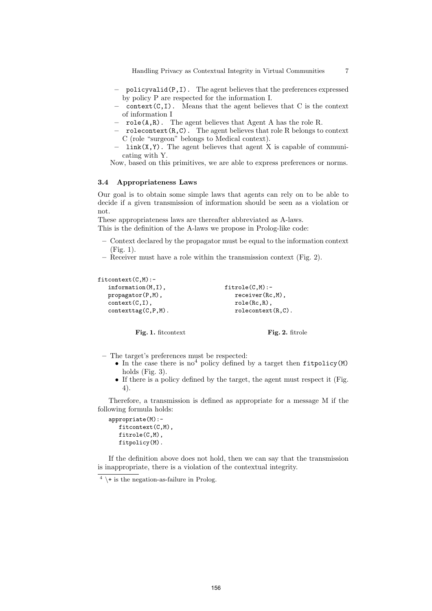Handling Privacy as Contextual Integrity in Virtual Communities 7

- policyvalid(P,I). The agent believes that the preferences expressed by policy P are respected for the information I.
- $\text{context}(C, I)$ . Means that the agent believes that C is the context of information I
- $role(A, R)$ . The agent believes that Agent A has the role R.
- rolecontext $(R, C)$ . The agent believes that role R belongs to context C (role "surgeon" belongs to Medical context).
- $link(X, Y)$ . The agent believes that agent X is capable of communicating with Y.
- Now, based on this primitives, we are able to express preferences or norms.

## 3.4 Appropriateness Laws

Our goal is to obtain some simple laws that agents can rely on to be able to decide if a given transmission of information should be seen as a violation or not.

These appropriateness laws are thereafter abbreviated as A-laws.

This is the definition of the A-laws we propose in Prolog-like code:

- Context declared by the propagator must be equal to the information context (Fig. 1).
- Receiver must have a role within the transmission context (Fig. 2).

#### fitcontext(C,M):-

```
information(M,I),
propagator(P,M),
context(C,I),
contexttag(C,P,M).
                                   fitrole(C,M):-
                                     receiver(Rc,M),
                                     role(Rc,R),
                                     rolecontext(R,C).
```
Fig. 1. fitcontext

Fig. 2. fitrole

– The target's preferences must be respected:

- In the case there is  $no<sup>4</sup>$  policy defined by a target then fitpolicy(M) holds (Fig. 3).
- If there is a policy defined by the target, the agent must respect it (Fig. 4).

Therefore, a transmission is defined as appropriate for a message M if the following formula holds:

```
appropriate(M):-
   fitcontext(C,M),
   fitrole(C,M),
   fitpolicy(M).
```
If the definition above does not hold, then we can say that the transmission is inappropriate, there is a violation of the contextual integrity.

 $^4$  \+ is the negation-as-failure in Prolog.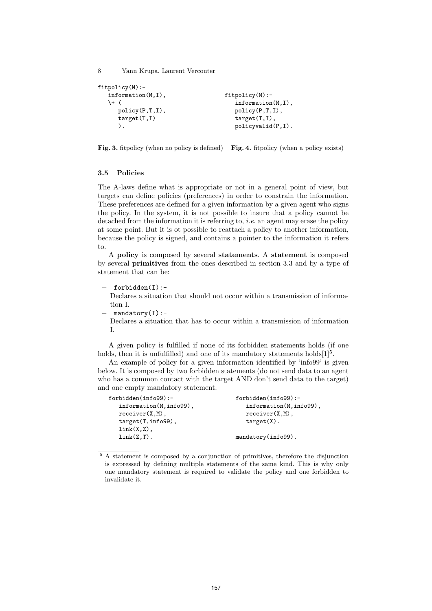```
fitpolicy(M):-
   information(M,I),
   \+ (
      policy(P,T,I),
      target(T,I)
      ).
                                      fitpolicy(M):-
                                          information(M,I),
                                          policy(P,T,I),
                                          target(T,I),
                                          policyvalid(P,I).
```
Fig. 3. fitpolicy (when no policy is defined) Fig. 4. fitpolicy (when a policy exists)

## 3.5 Policies

The A-laws define what is appropriate or not in a general point of view, but targets can define policies (preferences) in order to constrain the information. These preferences are defined for a given information by a given agent who signs the policy. In the system, it is not possible to insure that a policy cannot be detached from the information it is referring to, *i.e.* an agent may erase the policy at some point. But it is ot possible to reattach a policy to another information, because the policy is signed, and contains a pointer to the information it refers to.

A policy is composed by several statements. A statement is composed by several primitives from the ones described in section 3.3 and by a type of statement that can be:

– forbidden(I):-

Declares a situation that should not occur within a transmission of information I.

 $-$  mandatory(I):-

Declares a situation that has to occur within a transmission of information I.

A given policy is fulfilled if none of its forbidden statements holds (if one holds, then it is unfulfilled) and one of its mandatory statements holds $[1]^{5}$ .

An example of policy for a given information identified by 'info99' is given below. It is composed by two forbidden statements (do not send data to an agent who has a common contact with the target AND don't send data to the target) and one empty mandatory statement.

| forbidden(info99):-     | $for$ bidden $(info99)$ :- |
|-------------------------|----------------------------|
| information(M, info99), | information(M, info99),    |
| $receiver(X, M)$ ,      | $receiver(X, M)$ .         |
| $target(T, info99)$ ,   | $target(X)$ .              |
| $link(X,Z)$ ,           |                            |
| $link(Z,T)$ .           | $mandatory(info99)$ .      |
|                         |                            |

<sup>5</sup> A statement is composed by a conjunction of primitives, therefore the disjunction is expressed by defining multiple statements of the same kind. This is why only one mandatory statement is required to validate the policy and one forbidden to invalidate it.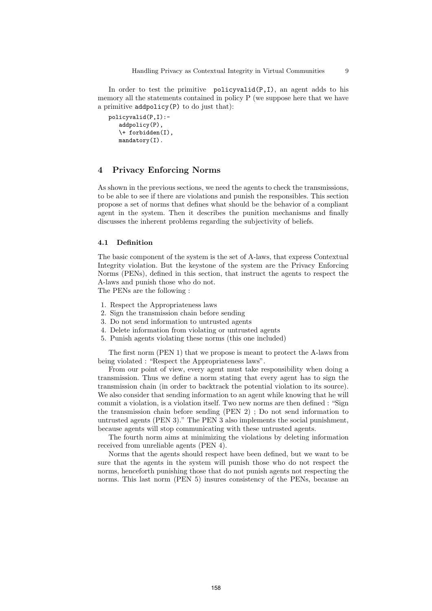In order to test the primitive  $policyvalid(P,I)$ , an agent adds to his memory all the statements contained in policy P (we suppose here that we have a primitive addpolicy(P) to do just that):

```
policyvalid(P,I):-
   addpolicy(P),
   \+ forbidden(I),
   mandatory(I).
```
# 4 Privacy Enforcing Norms

As shown in the previous sections, we need the agents to check the transmissions, to be able to see if there are violations and punish the responsibles. This section propose a set of norms that defines what should be the behavior of a compliant agent in the system. Then it describes the punition mechanisms and finally discusses the inherent problems regarding the subjectivity of beliefs.

#### 4.1 Definition

The basic component of the system is the set of A-laws, that express Contextual Integrity violation. But the keystone of the system are the Privacy Enforcing Norms (PENs), defined in this section, that instruct the agents to respect the A-laws and punish those who do not.

The PENs are the following :

- 1. Respect the Appropriateness laws
- 2. Sign the transmission chain before sending
- 3. Do not send information to untrusted agents
- 4. Delete information from violating or untrusted agents
- 5. Punish agents violating these norms (this one included)

The first norm (PEN 1) that we propose is meant to protect the A-laws from being violated : "Respect the Appropriateness laws".

From our point of view, every agent must take responsibility when doing a transmission. Thus we define a norm stating that every agent has to sign the transmission chain (in order to backtrack the potential violation to its source). We also consider that sending information to an agent while knowing that he will commit a violation, is a violation itself. Two new norms are then defined : "Sign the transmission chain before sending (PEN 2) ; Do not send information to untrusted agents (PEN 3)." The PEN 3 also implements the social punishment, because agents will stop communicating with these untrusted agents.

The fourth norm aims at minimizing the violations by deleting information received from unreliable agents (PEN 4).

Norms that the agents should respect have been defined, but we want to be sure that the agents in the system will punish those who do not respect the norms, henceforth punishing those that do not punish agents not respecting the norms. This last norm (PEN 5) insures consistency of the PENs, because an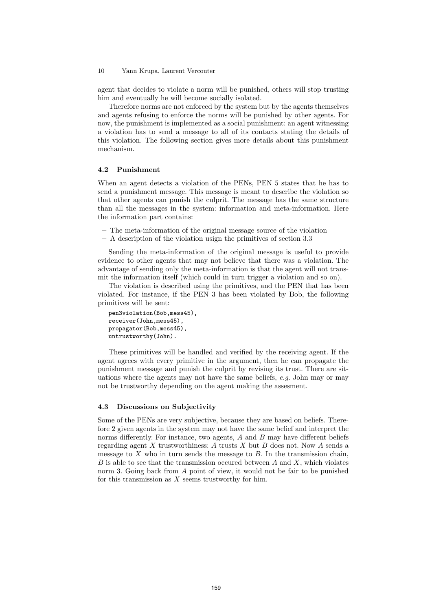agent that decides to violate a norm will be punished, others will stop trusting him and eventually he will become socially isolated.

Therefore norms are not enforced by the system but by the agents themselves and agents refusing to enforce the norms will be punished by other agents. For now, the punishment is implemented as a social punishment: an agent witnessing a violation has to send a message to all of its contacts stating the details of this violation. The following section gives more details about this punishment mechanism.

#### 4.2 Punishment

When an agent detects a violation of the PENs, PEN 5 states that he has to send a punishment message. This message is meant to describe the violation so that other agents can punish the culprit. The message has the same structure than all the messages in the system: information and meta-information. Here the information part contains:

- The meta-information of the original message source of the violation
- A description of the violation usign the primitives of section 3.3

Sending the meta-information of the original message is useful to provide evidence to other agents that may not believe that there was a violation. The advantage of sending only the meta-information is that the agent will not transmit the information itself (which could in turn trigger a violation and so on).

The violation is described using the primitives, and the PEN that has been violated. For instance, if the PEN 3 has been violated by Bob, the following primitives will be sent:

```
pen3violation(Bob,mess45),
receiver(John,mess45),
propagator(Bob,mess45),
untrustworthy(John).
```
These primitives will be handled and verified by the receiving agent. If the agent agrees with every primitive in the argument, then he can propagate the punishment message and punish the culprit by revising its trust. There are situations where the agents may not have the same beliefs, e.g. John may or may not be trustworthy depending on the agent making the assesment.

#### 4.3 Discussions on Subjectivity

Some of the PENs are very subjective, because they are based on beliefs. Therefore 2 given agents in the system may not have the same belief and interpret the norms differently. For instance, two agents,  $A$  and  $B$  may have different beliefs regarding agent X trustworthiness: A trusts X but B does not. Now A sends a message to  $X$  who in turn sends the message to  $B$ . In the transmission chain, B is able to see that the transmission occured between  $A$  and  $X$ , which violates norm 3. Going back from A point of view, it would not be fair to be punished for this transmission as  $X$  seems trustworthy for him.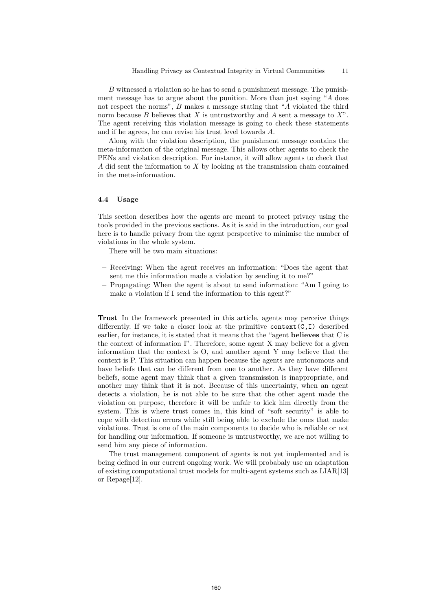B witnessed a violation so he has to send a punishment message. The punishment message has to argue about the punition. More than just saying "A does not respect the norms", B makes a message stating that "A violated the third norm because  $B$  believes that  $X$  is untrustworthy and  $A$  sent a message to  $X$ ". The agent receiving this violation message is going to check these statements and if he agrees, he can revise his trust level towards A.

Along with the violation description, the punishment message contains the meta-information of the original message. This allows other agents to check the PENs and violation description. For instance, it will allow agents to check that A did sent the information to  $X$  by looking at the transmission chain contained in the meta-information.

#### 4.4 Usage

This section describes how the agents are meant to protect privacy using the tools provided in the previous sections. As it is said in the introduction, our goal here is to handle privacy from the agent perspective to minimise the number of violations in the whole system.

There will be two main situations:

- Receiving: When the agent receives an information: "Does the agent that sent me this information made a violation by sending it to me?"
- Propagating: When the agent is about to send information: "Am I going to make a violation if I send the information to this agent?"

Trust In the framework presented in this article, agents may perceive things differently. If we take a closer look at the primitive  $context(C, I)$  described earlier, for instance, it is stated that it means that the "agent believes that C is the context of information I". Therefore, some agent X may believe for a given information that the context is O, and another agent Y may believe that the context is P. This situation can happen because the agents are autonomous and have beliefs that can be different from one to another. As they have different beliefs, some agent may think that a given transmission is inappropriate, and another may think that it is not. Because of this uncertainty, when an agent detects a violation, he is not able to be sure that the other agent made the violation on purpose, therefore it will be unfair to kick him directly from the system. This is where trust comes in, this kind of "soft security" is able to cope with detection errors while still being able to exclude the ones that make violations. Trust is one of the main components to decide who is reliable or not for handling our information. If someone is untrustworthy, we are not willing to send him any piece of information.

The trust management component of agents is not yet implemented and is being defined in our current ongoing work. We will probabaly use an adaptation of existing computational trust models for multi-agent systems such as LIAR[13] or Repage[12].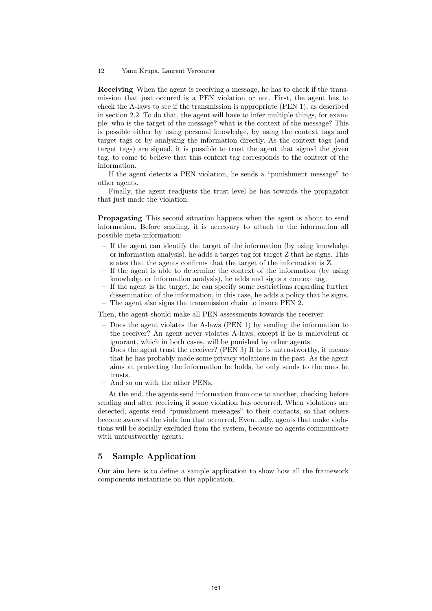Receiving When the agent is receiving a message, he has to check if the transmission that just occured is a PEN violation or not. First, the agent has to check the A-laws to see if the transmission is appropriate (PEN 1), as described in section 2.2. To do that, the agent will have to infer multiple things, for example: who is the target of the message? what is the context of the message? This is possible either by using personal knowledge, by using the context tags and target tags or by analysing the information directly. As the context tags (and target tags) are signed, it is possible to trust the agent that signed the given tag, to come to believe that this context tag corresponds to the context of the information.

If the agent detects a PEN violation, he sends a "punishment message" to other agents.

Finally, the agent readjusts the trust level he has towards the propagator that just made the violation.

Propagating This second situation happens when the agent is about to send information. Before sending, it is necessary to attach to the information all possible meta-information:

- If the agent can identify the target of the information (by using knowledge or information analysis), he adds a target tag for target Z that he signs. This states that the agents confirms that the target of the information is Z.
- If the agent is able to determine the context of the information (by using knowledge or information analysis), he adds and signs a context tag.
- If the agent is the target, he can specify some restrictions regarding further dissemination of the information, in this case, he adds a policy that he signs.
- The agent also signs the transmission chain to insure PEN 2.

Then, the agent should make all PEN assessments towards the receiver:

- Does the agent violates the A-laws (PEN 1) by sending the information to the receiver? An agent never violates A-laws, except if he is malevolent or ignorant, which in both cases, will be punished by other agents.
- Does the agent trust the receiver? (PEN 3) If he is untrustworthy, it means that he has probably made some privacy violations in the past. As the agent aims at protecting the information he holds, he only sends to the ones he trusts.
- And so on with the other PENs.

At the end, the agents send information from one to another, checking before sending and after receiving if some violation has occurred. When violations are detected, agents send "punishment messages" to their contacts, so that others become aware of the violation that occurred. Eventually, agents that make violations will be socially excluded from the system, because no agents communicate with untrustworthy agents.

# 5 Sample Application

Our aim here is to define a sample application to show how all the framework components instantiate on this application.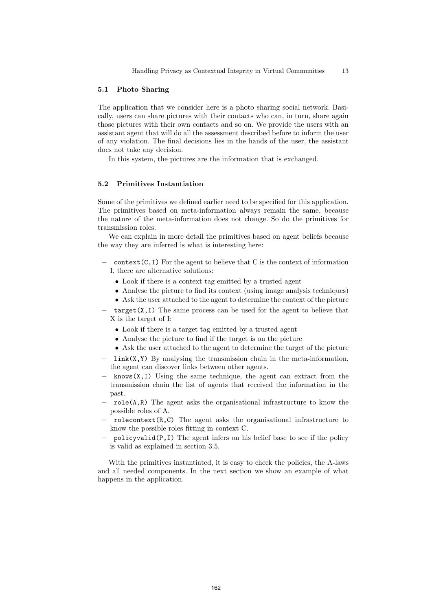## 5.1 Photo Sharing

The application that we consider here is a photo sharing social network. Basically, users can share pictures with their contacts who can, in turn, share again those pictures with their own contacts and so on. We provide the users with an assistant agent that will do all the assessment described before to inform the user of any violation. The final decisions lies in the hands of the user, the assistant does not take any decision.

In this system, the pictures are the information that is exchanged.

## 5.2 Primitives Instantiation

Some of the primitives we defined earlier need to be specified for this application. The primitives based on meta-information always remain the same, because the nature of the meta-information does not change. So do the primitives for transmission roles.

We can explain in more detail the primitives based on agent beliefs because the way they are inferred is what is interesting here:

- $\overline{\phantom{a}}$  context(C,I) For the agent to believe that C is the context of information I, there are alternative solutions:
	- Look if there is a context tag emitted by a trusted agent
	- Analyse the picture to find its context (using image analysis techniques)
	- Ask the user attached to the agent to determine the context of the picture
- $\frac{1}{\sqrt{2}}$  target(X,I) The same process can be used for the agent to believe that X is the target of I:
	- Look if there is a target tag emitted by a trusted agent
	- Analyse the picture to find if the target is on the picture
	- Ask the user attached to the agent to determine the target of the picture
- $-$  link(X,Y) By analysing the transmission chain in the meta-information, the agent can discover links between other agents.
- $-$  knows(X,I) Using the same technique, the agent can extract from the transmission chain the list of agents that received the information in the past.
- $\sim$  role(A,R) The agent asks the organisational infrastructure to know the possible roles of A.
- $r$ olecontext $(R, C)$  The agent asks the organisational infrastructure to know the possible roles fitting in context C.
- policyvalid( $P, I$ ) The agent infers on his belief base to see if the policy is valid as explained in section 3.5.

With the primitives instantiated, it is easy to check the policies, the A-laws and all needed components. In the next section we show an example of what happens in the application.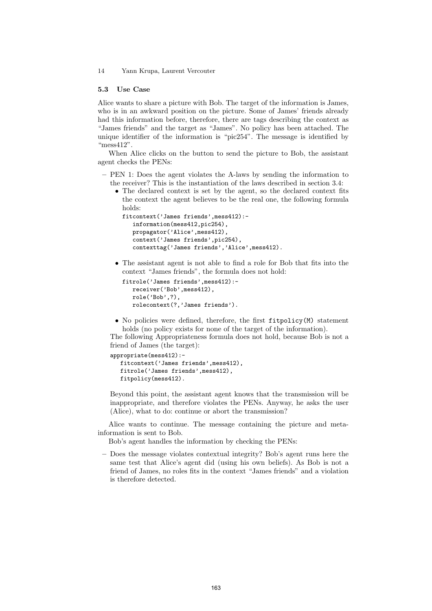#### 5.3 Use Case

Alice wants to share a picture with Bob. The target of the information is James, who is in an awkward position on the picture. Some of James' friends already had this information before, therefore, there are tags describing the context as "James friends" and the target as "James". No policy has been attached. The unique identifier of the information is "pic254". The message is identified by "mess412".

When Alice clicks on the button to send the picture to Bob, the assistant agent checks the PENs:

- PEN 1: Does the agent violates the A-laws by sending the information to the receiver? This is the instantiation of the laws described in section 3.4:
	- The declared context is set by the agent, so the declared context fits the context the agent believes to be the real one, the following formula holds:

```
fitcontext('James friends',mess412):-
   information(mess412,pic254),
   propagator('Alice',mess412)
   context('James friends',pic254),
   contexttag('James friends','Alice',mess412).
```
• The assistant agent is not able to find a role for Bob that fits into the context "James friends", the formula does not hold:

```
fitrole('James friends',mess412):-
   receiver('Bob',mess412),
   role('Bob',?),
   rolecontext(?,'James friends').
```
• No policies were defined, therefore, the first fitpolicy(M) statement holds (no policy exists for none of the target of the information).

The following Appropriateness formula does not hold, because Bob is not a friend of James (the target):

# appropriate(mess412):-

```
fitcontext('James friends',mess412),
fitrole('James friends',mess412),
fitpolicy(mess412).
```
Beyond this point, the assistant agent knows that the transmission will be inappropriate, and therefore violates the PENs. Anyway, he asks the user (Alice), what to do: continue or abort the transmission?

Alice wants to continue. The message containing the picture and metainformation is sent to Bob.

Bob's agent handles the information by checking the PENs:

– Does the message violates contextual integrity? Bob's agent runs here the same test that Alice's agent did (using his own beliefs). As Bob is not a friend of James, no roles fits in the context "James friends" and a violation is therefore detected.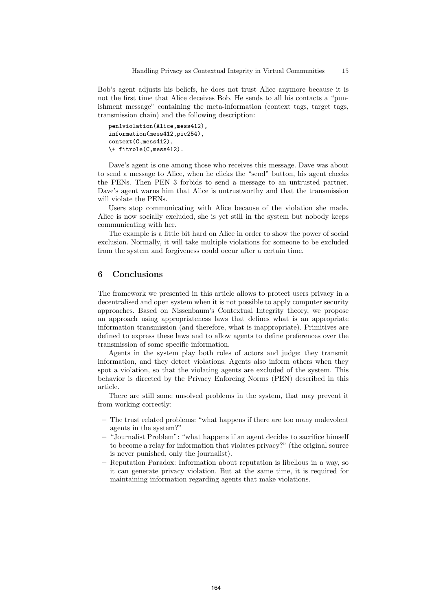Bob's agent adjusts his beliefs, he does not trust Alice anymore because it is not the first time that Alice deceives Bob. He sends to all his contacts a "punishment message" containing the meta-information (context tags, target tags, transmission chain) and the following description:

```
pen1violation(Alice,mess412),
information(mess412,pic254),
context(C,mess412),
\+ fitrole(C,mess412).
```
Dave's agent is one among those who receives this message. Dave was about to send a message to Alice, when he clicks the "send" button, his agent checks the PENs. Then PEN 3 forbids to send a message to an untrusted partner. Dave's agent warns him that Alice is untrustworthy and that the transmission will violate the PENs.

Users stop communicating with Alice because of the violation she made. Alice is now socially excluded, she is yet still in the system but nobody keeps communicating with her.

The example is a little bit hard on Alice in order to show the power of social exclusion. Normally, it will take multiple violations for someone to be excluded from the system and forgiveness could occur after a certain time.

# 6 Conclusions

The framework we presented in this article allows to protect users privacy in a decentralised and open system when it is not possible to apply computer security approaches. Based on Nissenbaum's Contextual Integrity theory, we propose an approach using appropriateness laws that defines what is an appropriate information transmission (and therefore, what is inappropriate). Primitives are defined to express these laws and to allow agents to define preferences over the transmission of some specific information.

Agents in the system play both roles of actors and judge: they transmit information, and they detect violations. Agents also inform others when they spot a violation, so that the violating agents are excluded of the system. This behavior is directed by the Privacy Enforcing Norms (PEN) described in this article.

There are still some unsolved problems in the system, that may prevent it from working correctly:

- The trust related problems: "what happens if there are too many malevolent agents in the system?"
- "Journalist Problem": "what happens if an agent decides to sacrifice himself to become a relay for information that violates privacy?" (the original source is never punished, only the journalist).
- Reputation Paradox: Information about reputation is libellous in a way, so it can generate privacy violation. But at the same time, it is required for maintaining information regarding agents that make violations.

164